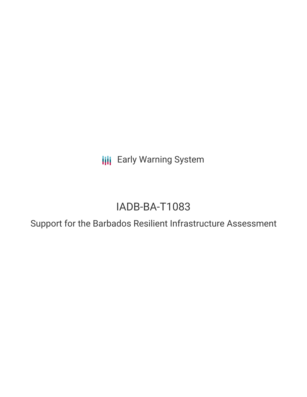**III** Early Warning System

# IADB-BA-T1083

Support for the Barbados Resilient Infrastructure Assessment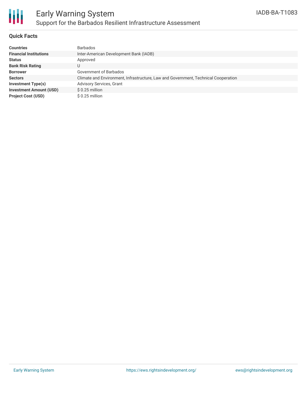

### **Quick Facts**

| <b>Countries</b>               | <b>Barbados</b>                                                                    |
|--------------------------------|------------------------------------------------------------------------------------|
| <b>Financial Institutions</b>  | Inter-American Development Bank (IADB)                                             |
| <b>Status</b>                  | Approved                                                                           |
| <b>Bank Risk Rating</b>        | U                                                                                  |
| <b>Borrower</b>                | Government of Barbados                                                             |
| <b>Sectors</b>                 | Climate and Environment, Infrastructure, Law and Government, Technical Cooperation |
| Investment Type(s)             | <b>Advisory Services, Grant</b>                                                    |
| <b>Investment Amount (USD)</b> | $$0.25$ million                                                                    |
| <b>Project Cost (USD)</b>      | $$0.25$ million                                                                    |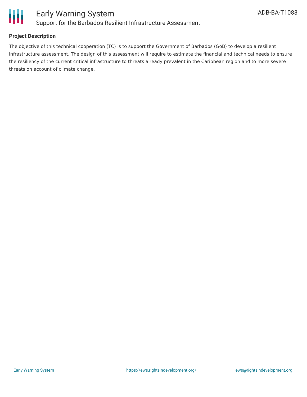

## **Project Description**

The objective of this technical cooperation (TC) is to support the Government of Barbados (GoB) to develop a resilient infrastructure assessment. The design of this assessment will require to estimate the financial and technical needs to ensure the resiliency of the current critical infrastructure to threats already prevalent in the Caribbean region and to more severe threats on account of climate change.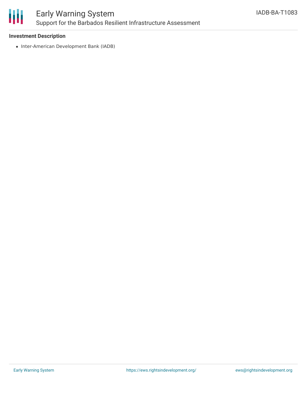

# Early Warning System Support for the Barbados Resilient Infrastructure Assessment

### **Investment Description**

• Inter-American Development Bank (IADB)